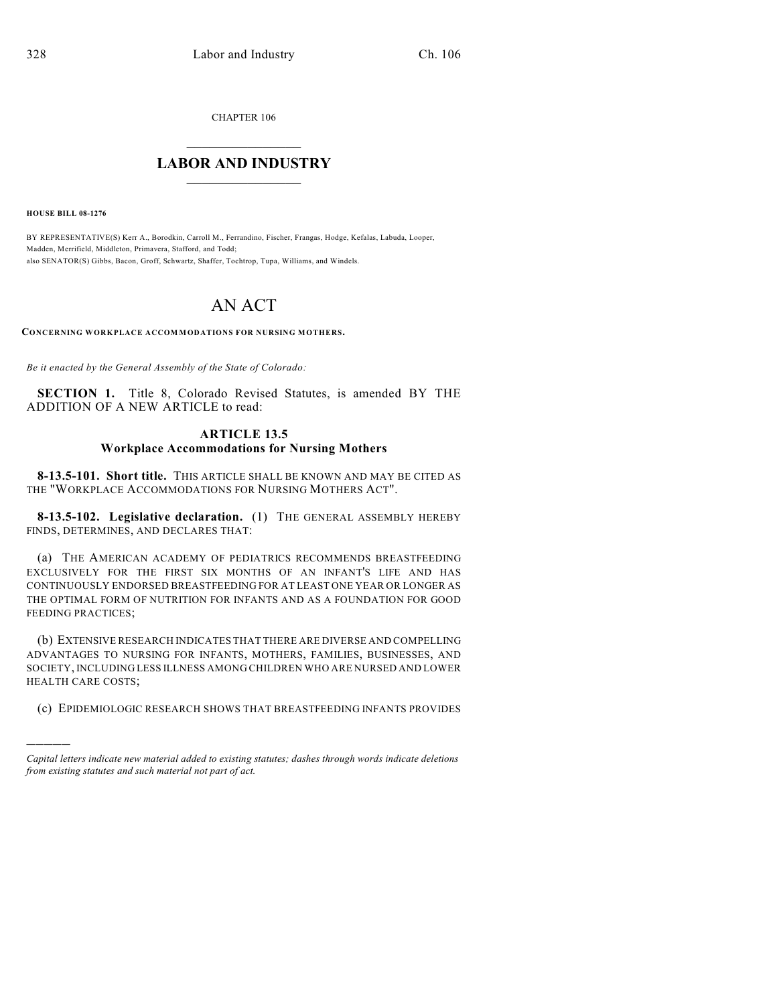CHAPTER 106

## $\mathcal{L}_\text{max}$  . The set of the set of the set of the set of the set of the set of the set of the set of the set of the set of the set of the set of the set of the set of the set of the set of the set of the set of the set **LABOR AND INDUSTRY**  $\frac{1}{\sqrt{2}}$  ,  $\frac{1}{\sqrt{2}}$  ,  $\frac{1}{\sqrt{2}}$  ,  $\frac{1}{\sqrt{2}}$  ,  $\frac{1}{\sqrt{2}}$  ,  $\frac{1}{\sqrt{2}}$

**HOUSE BILL 08-1276**

)))))

BY REPRESENTATIVE(S) Kerr A., Borodkin, Carroll M., Ferrandino, Fischer, Frangas, Hodge, Kefalas, Labuda, Looper, Madden, Merrifield, Middleton, Primavera, Stafford, and Todd; also SENATOR(S) Gibbs, Bacon, Groff, Schwartz, Shaffer, Tochtrop, Tupa, Williams, and Windels.

## AN ACT

**CONCERNING WORKPLACE ACCOM MODATIONS FOR NURSING MOTHERS.**

*Be it enacted by the General Assembly of the State of Colorado:*

**SECTION 1.** Title 8, Colorado Revised Statutes, is amended BY THE ADDITION OF A NEW ARTICLE to read:

## **ARTICLE 13.5 Workplace Accommodations for Nursing Mothers**

**8-13.5-101. Short title.** THIS ARTICLE SHALL BE KNOWN AND MAY BE CITED AS THE "WORKPLACE ACCOMMODATIONS FOR NURSING MOTHERS ACT".

**8-13.5-102. Legislative declaration.** (1) THE GENERAL ASSEMBLY HEREBY FINDS, DETERMINES, AND DECLARES THAT:

(a) THE AMERICAN ACADEMY OF PEDIATRICS RECOMMENDS BREASTFEEDING EXCLUSIVELY FOR THE FIRST SIX MONTHS OF AN INFANT'S LIFE AND HAS CONTINUOUSLY ENDORSED BREASTFEEDING FOR AT LEAST ONE YEAR OR LONGER AS THE OPTIMAL FORM OF NUTRITION FOR INFANTS AND AS A FOUNDATION FOR GOOD FEEDING PRACTICES;

(b) EXTENSIVE RESEARCH INDICATES THAT THERE ARE DIVERSE AND COMPELLING ADVANTAGES TO NURSING FOR INFANTS, MOTHERS, FAMILIES, BUSINESSES, AND SOCIETY, INCLUDING LESS ILLNESS AMONG CHILDREN WHO ARE NURSED AND LOWER HEALTH CARE COSTS;

(c) EPIDEMIOLOGIC RESEARCH SHOWS THAT BREASTFEEDING INFANTS PROVIDES

*Capital letters indicate new material added to existing statutes; dashes through words indicate deletions from existing statutes and such material not part of act.*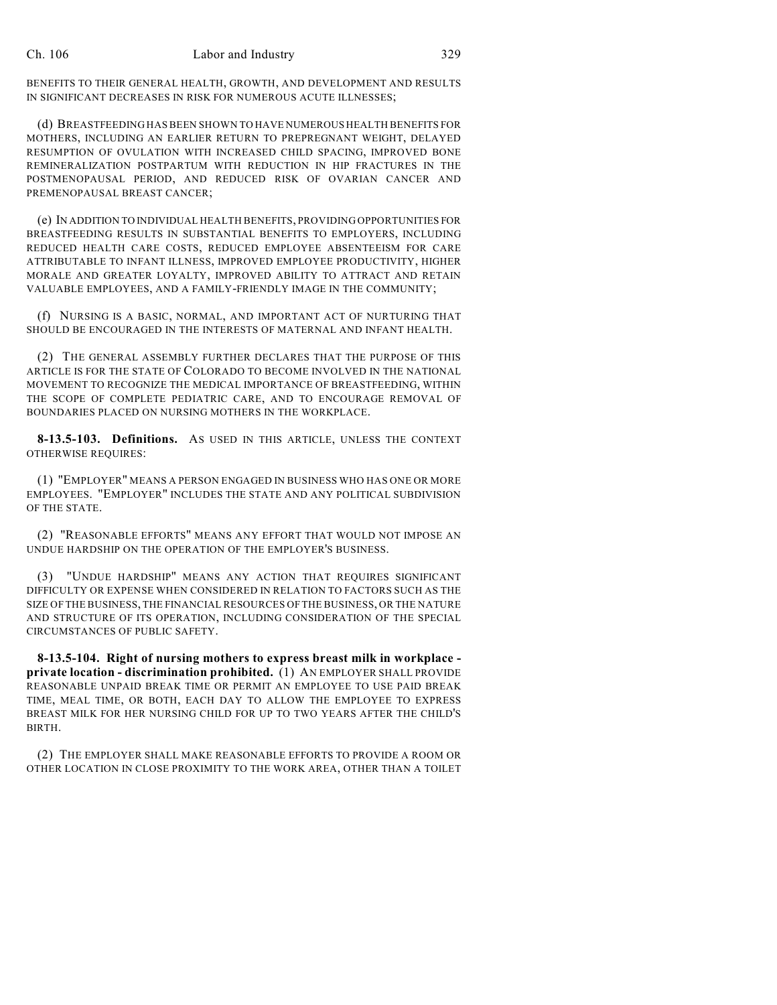BENEFITS TO THEIR GENERAL HEALTH, GROWTH, AND DEVELOPMENT AND RESULTS IN SIGNIFICANT DECREASES IN RISK FOR NUMEROUS ACUTE ILLNESSES;

(d) BREASTFEEDING HAS BEEN SHOWN TO HAVE NUMEROUS HEALTH BENEFITS FOR MOTHERS, INCLUDING AN EARLIER RETURN TO PREPREGNANT WEIGHT, DELAYED RESUMPTION OF OVULATION WITH INCREASED CHILD SPACING, IMPROVED BONE REMINERALIZATION POSTPARTUM WITH REDUCTION IN HIP FRACTURES IN THE POSTMENOPAUSAL PERIOD, AND REDUCED RISK OF OVARIAN CANCER AND PREMENOPAUSAL BREAST CANCER;

(e) IN ADDITION TO INDIVIDUAL HEALTH BENEFITS, PROVIDING OPPORTUNITIES FOR BREASTFEEDING RESULTS IN SUBSTANTIAL BENEFITS TO EMPLOYERS, INCLUDING REDUCED HEALTH CARE COSTS, REDUCED EMPLOYEE ABSENTEEISM FOR CARE ATTRIBUTABLE TO INFANT ILLNESS, IMPROVED EMPLOYEE PRODUCTIVITY, HIGHER MORALE AND GREATER LOYALTY, IMPROVED ABILITY TO ATTRACT AND RETAIN VALUABLE EMPLOYEES, AND A FAMILY-FRIENDLY IMAGE IN THE COMMUNITY;

(f) NURSING IS A BASIC, NORMAL, AND IMPORTANT ACT OF NURTURING THAT SHOULD BE ENCOURAGED IN THE INTERESTS OF MATERNAL AND INFANT HEALTH.

(2) THE GENERAL ASSEMBLY FURTHER DECLARES THAT THE PURPOSE OF THIS ARTICLE IS FOR THE STATE OF COLORADO TO BECOME INVOLVED IN THE NATIONAL MOVEMENT TO RECOGNIZE THE MEDICAL IMPORTANCE OF BREASTFEEDING, WITHIN THE SCOPE OF COMPLETE PEDIATRIC CARE, AND TO ENCOURAGE REMOVAL OF BOUNDARIES PLACED ON NURSING MOTHERS IN THE WORKPLACE.

**8-13.5-103. Definitions.** AS USED IN THIS ARTICLE, UNLESS THE CONTEXT OTHERWISE REQUIRES:

(1) "EMPLOYER" MEANS A PERSON ENGAGED IN BUSINESS WHO HAS ONE OR MORE EMPLOYEES. "EMPLOYER" INCLUDES THE STATE AND ANY POLITICAL SUBDIVISION OF THE STATE.

(2) "REASONABLE EFFORTS" MEANS ANY EFFORT THAT WOULD NOT IMPOSE AN UNDUE HARDSHIP ON THE OPERATION OF THE EMPLOYER'S BUSINESS.

(3) "UNDUE HARDSHIP" MEANS ANY ACTION THAT REQUIRES SIGNIFICANT DIFFICULTY OR EXPENSE WHEN CONSIDERED IN RELATION TO FACTORS SUCH AS THE SIZE OF THE BUSINESS, THE FINANCIAL RESOURCES OF THE BUSINESS, OR THE NATURE AND STRUCTURE OF ITS OPERATION, INCLUDING CONSIDERATION OF THE SPECIAL CIRCUMSTANCES OF PUBLIC SAFETY.

**8-13.5-104. Right of nursing mothers to express breast milk in workplace private location - discrimination prohibited.** (1) AN EMPLOYER SHALL PROVIDE REASONABLE UNPAID BREAK TIME OR PERMIT AN EMPLOYEE TO USE PAID BREAK TIME, MEAL TIME, OR BOTH, EACH DAY TO ALLOW THE EMPLOYEE TO EXPRESS BREAST MILK FOR HER NURSING CHILD FOR UP TO TWO YEARS AFTER THE CHILD'S BIRTH.

(2) THE EMPLOYER SHALL MAKE REASONABLE EFFORTS TO PROVIDE A ROOM OR OTHER LOCATION IN CLOSE PROXIMITY TO THE WORK AREA, OTHER THAN A TOILET